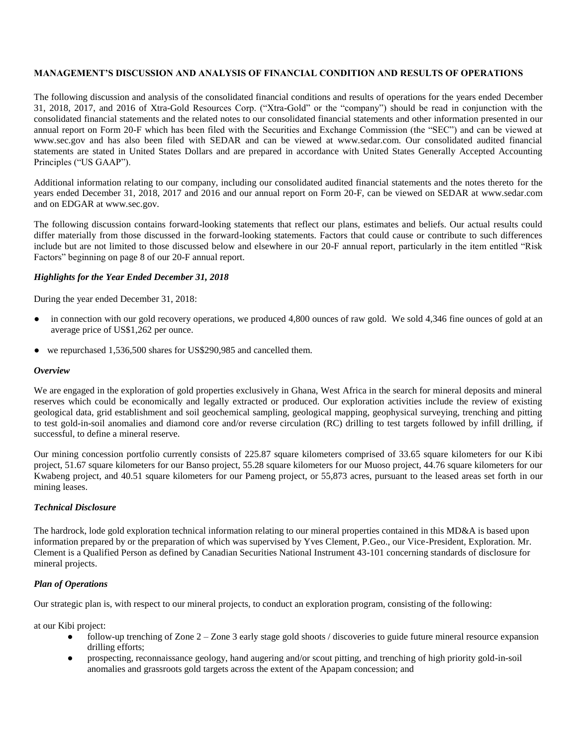# **MANAGEMENT'S DISCUSSION AND ANALYSIS OF FINANCIAL CONDITION AND RESULTS OF OPERATIONS**

The following discussion and analysis of the consolidated financial conditions and results of operations for the years ended December 31, 2018, 2017, and 2016 of Xtra-Gold Resources Corp. ("Xtra-Gold" or the "company") should be read in conjunction with the consolidated financial statements and the related notes to our consolidated financial statements and other information presented in our annual report on Form 20-F which has been filed with the Securities and Exchange Commission (the "SEC") and can be viewed at www.sec.gov and has also been filed with SEDAR and can be viewed at www.sedar.com. Our consolidated audited financial statements are stated in United States Dollars and are prepared in accordance with United States Generally Accepted Accounting Principles ("US GAAP").

Additional information relating to our company, including our consolidated audited financial statements and the notes thereto for the years ended December 31, 2018, 2017 and 2016 and our annual report on Form 20-F, can be viewed on SEDAR at [www.sedar.com](http://www.sedar.com/) and on EDGAR at [www.sec.gov.](http://www.sec.gov/)

The following discussion contains forward-looking statements that reflect our plans, estimates and beliefs. Our actual results could differ materially from those discussed in the forward-looking statements. Factors that could cause or contribute to such differences include but are not limited to those discussed below and elsewhere in our 20-F annual report, particularly in the item entitled "Risk Factors" beginning on page 8 of our 20-F annual report.

### *Highlights for the Year Ended December 31, 2018*

During the year ended December 31, 2018:

- in connection with our gold recovery operations, we produced 4,800 ounces of raw gold. We sold 4,346 fine ounces of gold at an average price of US\$1,262 per ounce.
- we repurchased 1,536,500 shares for US\$290,985 and cancelled them.

### *Overview*

We are engaged in the exploration of gold properties exclusively in Ghana, West Africa in the search for mineral deposits and mineral reserves which could be economically and legally extracted or produced. Our exploration activities include the review of existing geological data, grid establishment and soil geochemical sampling, geological mapping, geophysical surveying, trenching and pitting to test gold-in-soil anomalies and diamond core and/or reverse circulation (RC) drilling to test targets followed by infill drilling, if successful, to define a mineral reserve.

Our mining concession portfolio currently consists of 225.87 square kilometers comprised of 33.65 square kilometers for our Kibi project, 51.67 square kilometers for our Banso project, 55.28 square kilometers for our Muoso project, 44.76 square kilometers for our Kwabeng project, and 40.51 square kilometers for our Pameng project, or 55,873 acres, pursuant to the leased areas set forth in our mining leases.

### *Technical Disclosure*

The hardrock, lode gold exploration technical information relating to our mineral properties contained in this MD&A is based upon information prepared by or the preparation of which was supervised by Yves Clement, P.Geo., our Vice-President, Exploration. Mr. Clement is a Qualified Person as defined by Canadian Securities National Instrument 43-101 concerning standards of disclosure for mineral projects.

# *Plan of Operations*

Our strategic plan is, with respect to our mineral projects, to conduct an exploration program, consisting of the following:

at our Kibi project:

- follow-up trenching of Zone 2 Zone 3 early stage gold shoots / discoveries to guide future mineral resource expansion drilling efforts;
- prospecting, reconnaissance geology, hand augering and/or scout pitting, and trenching of high priority gold-in-soil anomalies and grassroots gold targets across the extent of the Apapam concession; and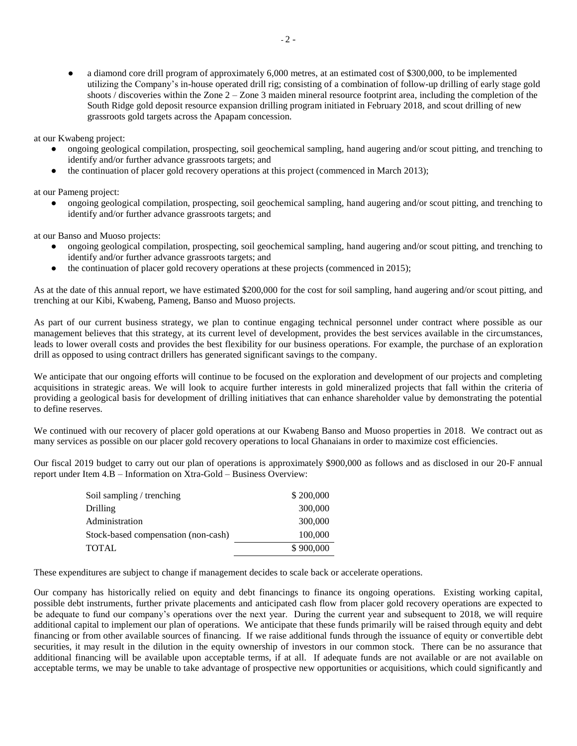**●** a diamond core drill program of approximately 6,000 metres, at an estimated cost of \$300,000, to be implemented utilizing the Company's in-house operated drill rig; consisting of a combination of follow-up drilling of early stage gold shoots / discoveries within the Zone 2 – Zone 3 maiden mineral resource footprint area, including the completion of the South Ridge gold deposit resource expansion drilling program initiated in February 2018, and scout drilling of new grassroots gold targets across the Apapam concession.

at our Kwabeng project:

- **●** ongoing geological compilation, prospecting, soil geochemical sampling, hand augering and/or scout pitting, and trenching to identify and/or further advance grassroots targets; and
- the continuation of placer gold recovery operations at this project (commenced in March 2013);

at our Pameng project:

● ongoing geological compilation, prospecting, soil geochemical sampling, hand augering and/or scout pitting, and trenching to identify and/or further advance grassroots targets; and

at our Banso and Muoso projects:

- **●** ongoing geological compilation, prospecting, soil geochemical sampling, hand augering and/or scout pitting, and trenching to identify and/or further advance grassroots targets; and
- the continuation of placer gold recovery operations at these projects (commenced in 2015);

As at the date of this annual report, we have estimated \$200,000 for the cost for soil sampling, hand augering and/or scout pitting, and trenching at our Kibi, Kwabeng, Pameng, Banso and Muoso projects.

As part of our current business strategy, we plan to continue engaging technical personnel under contract where possible as our management believes that this strategy, at its current level of development, provides the best services available in the circumstances, leads to lower overall costs and provides the best flexibility for our business operations. For example, the purchase of an exploration drill as opposed to using contract drillers has generated significant savings to the company.

We anticipate that our ongoing efforts will continue to be focused on the exploration and development of our projects and completing acquisitions in strategic areas. We will look to acquire further interests in gold mineralized projects that fall within the criteria of providing a geological basis for development of drilling initiatives that can enhance shareholder value by demonstrating the potential to define reserves.

We continued with our recovery of placer gold operations at our Kwabeng Banso and Muoso properties in 2018. We contract out as many services as possible on our placer gold recovery operations to local Ghanaians in order to maximize cost efficiencies.

Our fiscal 2019 budget to carry out our plan of operations is approximately \$900,000 as follows and as disclosed in our 20-F annual report under Item 4.B – Information on Xtra-Gold – Business Overview:

| Soil sampling / trenching           | \$200,000 |
|-------------------------------------|-----------|
| Drilling                            | 300,000   |
| Administration                      | 300,000   |
| Stock-based compensation (non-cash) | 100,000   |
| TOTAL                               | \$900,000 |

These expenditures are subject to change if management decides to scale back or accelerate operations.

Our company has historically relied on equity and debt financings to finance its ongoing operations. Existing working capital, possible debt instruments, further private placements and anticipated cash flow from placer gold recovery operations are expected to be adequate to fund our company's operations over the next year. During the current year and subsequent to 2018, we will require additional capital to implement our plan of operations. We anticipate that these funds primarily will be raised through equity and debt financing or from other available sources of financing. If we raise additional funds through the issuance of equity or convertible debt securities, it may result in the dilution in the equity ownership of investors in our common stock. There can be no assurance that additional financing will be available upon acceptable terms, if at all. If adequate funds are not available or are not available on acceptable terms, we may be unable to take advantage of prospective new opportunities or acquisitions, which could significantly and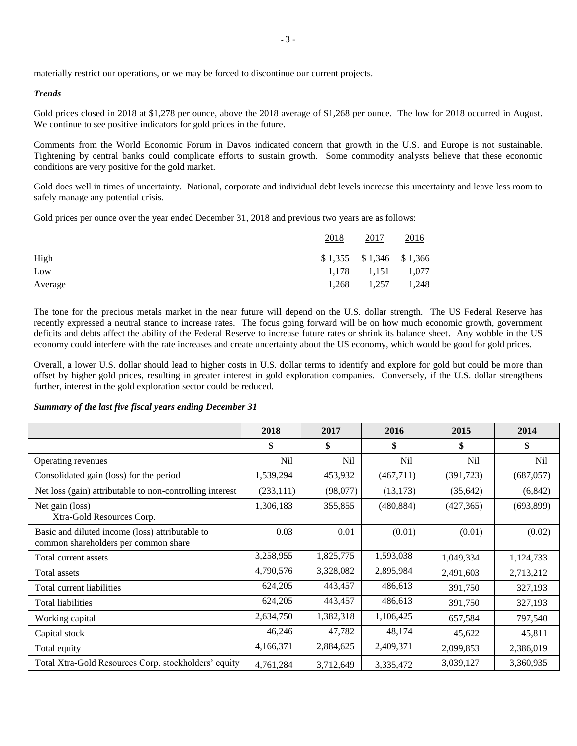## *Trends*

Gold prices closed in 2018 at \$1,278 per ounce, above the 2018 average of \$1,268 per ounce. The low for 2018 occurred in August. We continue to see positive indicators for gold prices in the future.

Comments from the World Economic Forum in Davos indicated concern that growth in the U.S. and Europe is not sustainable. Tightening by central banks could complicate efforts to sustain growth. Some commodity analysts believe that these economic conditions are very positive for the gold market.

Gold does well in times of uncertainty. National, corporate and individual debt levels increase this uncertainty and leave less room to safely manage any potential crisis.

Gold prices per ounce over the year ended December 31, 2018 and previous two years are as follows:

|         | 2018 | 2017                       | 2016  |
|---------|------|----------------------------|-------|
| High    |      | $$1,355$ $$1,346$ $$1,366$ |       |
| Low     |      | $1,178$ $1,151$ $1,077$    |       |
| Average |      | 1,268 1,257                | 1,248 |

The tone for the precious metals market in the near future will depend on the U.S. dollar strength. The US Federal Reserve has recently expressed a neutral stance to increase rates. The focus going forward will be on how much economic growth, government deficits and debts affect the ability of the Federal Reserve to increase future rates or shrink its balance sheet. Any wobble in the US economy could interfere with the rate increases and create uncertainty about the US economy, which would be good for gold prices.

Overall, a lower U.S. dollar should lead to higher costs in U.S. dollar terms to identify and explore for gold but could be more than offset by higher gold prices, resulting in greater interest in gold exploration companies. Conversely, if the U.S. dollar strengthens further, interest in the gold exploration sector could be reduced.

#### *Summary of the last five fiscal years ending December 31*

|                                                                                         | 2018       | 2017            | 2016            | 2015            | 2014       |
|-----------------------------------------------------------------------------------------|------------|-----------------|-----------------|-----------------|------------|
|                                                                                         | \$         | \$              | \$              | \$              | \$         |
| Operating revenues                                                                      | Nil        | N <sub>il</sub> | N <sub>il</sub> | N <sub>il</sub> | Nil        |
| Consolidated gain (loss) for the period                                                 | 1,539,294  | 453,932         | (467,711)       | (391, 723)      | (687, 057) |
| Net loss (gain) attributable to non-controlling interest                                | (233, 111) | (98,077)        | (13, 173)       | (35, 642)       | (6, 842)   |
| Net gain (loss)<br>Xtra-Gold Resources Corp.                                            | 1,306,183  | 355,855         | (480, 884)      | (427, 365)      | (693,899)  |
| Basic and diluted income (loss) attributable to<br>common shareholders per common share | 0.03       | 0.01            | (0.01)          | (0.01)          | (0.02)     |
| Total current assets                                                                    | 3,258,955  | 1,825,775       | 1,593,038       | 1,049,334       | 1,124,733  |
| Total assets                                                                            | 4,790,576  | 3,328,082       | 2,895,984       | 2,491,603       | 2,713,212  |
| Total current liabilities                                                               | 624,205    | 443,457         | 486,613         | 391,750         | 327,193    |
| Total liabilities                                                                       | 624,205    | 443,457         | 486,613         | 391,750         | 327,193    |
| Working capital                                                                         | 2,634,750  | 1,382,318       | 1,106,425       | 657,584         | 797,540    |
| Capital stock                                                                           | 46,246     | 47,782          | 48,174          | 45,622          | 45,811     |
| Total equity                                                                            | 4,166,371  | 2,884,625       | 2,409,371       | 2,099,853       | 2,386,019  |
| Total Xtra-Gold Resources Corp. stockholders' equity                                    | 4,761,284  | 3,712,649       | 3,335,472       | 3,039,127       | 3,360,935  |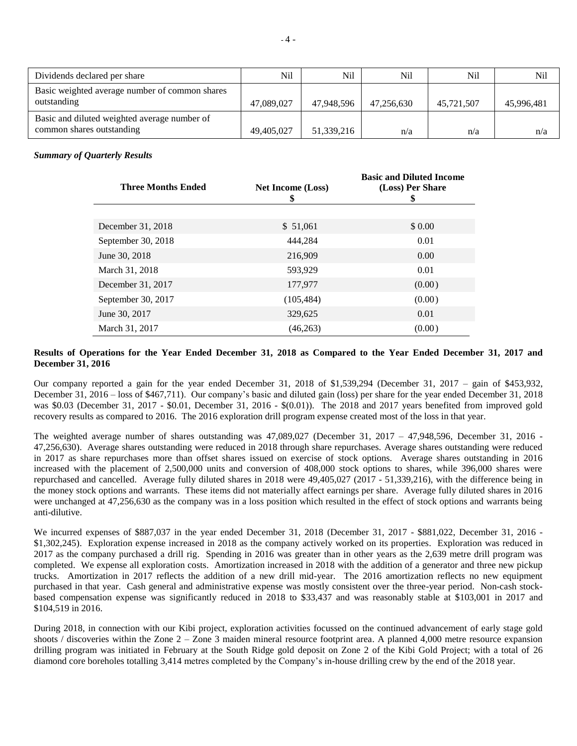| Dividends declared per share                                              | Nil        | Nil        | Nil        | Nil        | Nil        |
|---------------------------------------------------------------------------|------------|------------|------------|------------|------------|
| Basic weighted average number of common shares<br>outstanding             | 47,089,027 | 47.948.596 | 47.256.630 | 45,721,507 | 45,996,481 |
| Basic and diluted weighted average number of<br>common shares outstanding | 49,405,027 | 51,339,216 | n/a        | n/a        | n/a        |

## *Summary of Quarterly Results*

| <b>Three Months Ended</b> | <b>Net Income (Loss)</b><br>\$ | <b>Basic and Diluted Income</b><br>(Loss) Per Share<br>\$ |
|---------------------------|--------------------------------|-----------------------------------------------------------|
| December 31, 2018         | \$ 51,061                      | \$0.00                                                    |
| September 30, 2018        | 444.284                        | 0.01                                                      |
| June 30, 2018             | 216,909                        | 0.00                                                      |
| March 31, 2018            | 593,929                        | 0.01                                                      |
| December 31, 2017         | 177,977                        | (0.00)                                                    |
| September 30, 2017        | (105, 484)                     | (0.00)                                                    |
| June 30, 2017             | 329,625                        | 0.01                                                      |
| March 31, 2017            | (46,263)                       | (0.00)                                                    |

## **Results of Operations for the Year Ended December 31, 2018 as Compared to the Year Ended December 31, 2017 and December 31, 2016**

Our company reported a gain for the year ended December 31, 2018 of \$1,539,294 (December 31, 2017 – gain of \$453,932, December 31, 2016 – loss of \$467,711). Our company's basic and diluted gain (loss) per share for the year ended December 31, 2018 was \$0.03 (December 31, 2017 - \$0.01, December 31, 2016 - \$(0.01)). The 2018 and 2017 years benefited from improved gold recovery results as compared to 2016. The 2016 exploration drill program expense created most of the loss in that year.

The weighted average number of shares outstanding was 47,089,027 (December 31, 2017 – 47,948,596, December 31, 2016 - 47,256,630). Average shares outstanding were reduced in 2018 through share repurchases. Average shares outstanding were reduced in 2017 as share repurchases more than offset shares issued on exercise of stock options. Average shares outstanding in 2016 increased with the placement of 2,500,000 units and conversion of 408,000 stock options to shares, while 396,000 shares were repurchased and cancelled. Average fully diluted shares in 2018 were 49,405,027 (2017 - 51,339,216), with the difference being in the money stock options and warrants. These items did not materially affect earnings per share. Average fully diluted shares in 2016 were unchanged at 47,256,630 as the company was in a loss position which resulted in the effect of stock options and warrants being anti-dilutive.

We incurred expenses of \$887,037 in the year ended December 31, 2018 (December 31, 2017 - \$881,022, December 31, 2016 - \$1,302,245). Exploration expense increased in 2018 as the company actively worked on its properties. Exploration was reduced in 2017 as the company purchased a drill rig. Spending in 2016 was greater than in other years as the 2,639 metre drill program was completed. We expense all exploration costs. Amortization increased in 2018 with the addition of a generator and three new pickup trucks. Amortization in 2017 reflects the addition of a new drill mid-year. The 2016 amortization reflects no new equipment purchased in that year. Cash general and administrative expense was mostly consistent over the three-year period. Non-cash stockbased compensation expense was significantly reduced in 2018 to \$33,437 and was reasonably stable at \$103,001 in 2017 and \$104,519 in 2016.

During 2018, in connection with our Kibi project, exploration activities focussed on the continued advancement of early stage gold shoots / discoveries within the Zone 2 – Zone 3 maiden mineral resource footprint area. A planned 4,000 metre resource expansion drilling program was initiated in February at the South Ridge gold deposit on Zone 2 of the Kibi Gold Project; with a total of 26 diamond core boreholes totalling 3,414 metres completed by the Company's in-house drilling crew by the end of the 2018 year.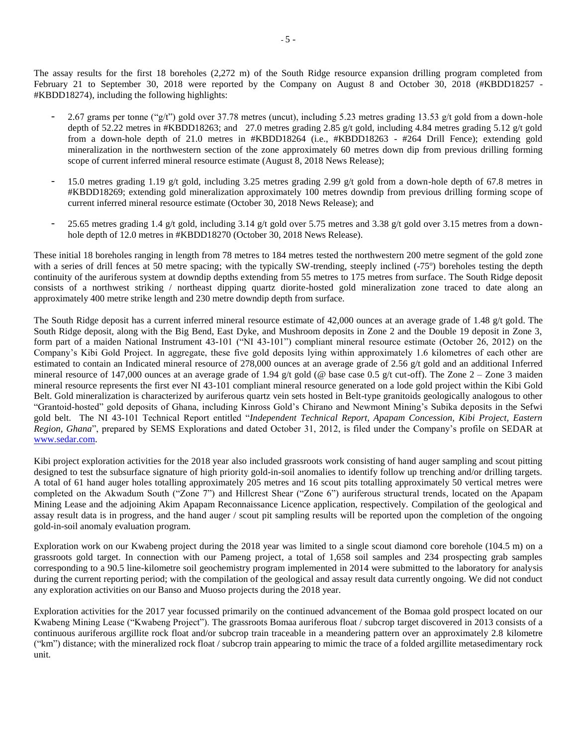The assay results for the first 18 boreholes (2,272 m) of the South Ridge resource expansion drilling program completed from February 21 to September 30, 2018 were reported by the Company on August 8 and October 30, 2018 (#KBDD18257 -#KBDD18274), including the following highlights:

- 2.67 grams per tonne ("g/t") gold over 37.78 metres (uncut), including 5.23 metres grading 13.53 g/t gold from a down-hole depth of 52.22 metres in #KBDD18263; and 27.0 metres grading 2.85 g/t gold, including 4.84 metres grading 5.12 g/t gold from a down-hole depth of 21.0 metres in #KBDD18264 (i.e., #KBDD18263 - #264 Drill Fence); extending gold mineralization in the northwestern section of the zone approximately 60 metres down dip from previous drilling forming scope of current inferred mineral resource estimate (August 8, 2018 News Release);
- 15.0 metres grading 1.19 g/t gold, including 3.25 metres grading 2.99 g/t gold from a down-hole depth of 67.8 metres in #KBDD18269; extending gold mineralization approximately 100 metres downdip from previous drilling forming scope of current inferred mineral resource estimate (October 30, 2018 News Release); and
- 25.65 metres grading 1.4 g/t gold, including 3.14 g/t gold over 5.75 metres and 3.38 g/t gold over 3.15 metres from a downhole depth of 12.0 metres in #KBDD18270 (October 30, 2018 News Release).

These initial 18 boreholes ranging in length from 78 metres to 184 metres tested the northwestern 200 metre segment of the gold zone with a series of drill fences at 50 metre spacing; with the typically SW-trending, steeply inclined (-75°) boreholes testing the depth continuity of the auriferous system at downdip depths extending from 55 metres to 175 metres from surface. The South Ridge deposit consists of a northwest striking / northeast dipping quartz diorite-hosted gold mineralization zone traced to date along an approximately 400 metre strike length and 230 metre downdip depth from surface.

The South Ridge deposit has a current inferred mineral resource estimate of 42,000 ounces at an average grade of 1.48 g/t gold. The South Ridge deposit, along with the Big Bend, East Dyke, and Mushroom deposits in Zone 2 and the Double 19 deposit in Zone 3, form part of a maiden National Instrument 43-101 ("NI 43-101") compliant mineral resource estimate (October 26, 2012) on the Company's Kibi Gold Project. In aggregate, these five gold deposits lying within approximately 1.6 kilometres of each other are estimated to contain an Indicated mineral resource of 278,000 ounces at an average grade of 2.56 g/t gold and an additional Inferred mineral resource of 147,000 ounces at an average grade of 1.94 g/t gold (@ base case 0.5 g/t cut-off). The Zone 2 – Zone 3 maiden mineral resource represents the first ever NI 43-101 compliant mineral resource generated on a lode gold project within the Kibi Gold Belt. Gold mineralization is characterized by auriferous quartz vein sets hosted in Belt-type granitoids geologically analogous to other "Grantoid-hosted" gold deposits of Ghana, including Kinross Gold's Chirano and Newmont Mining's Subika deposits in the Sefwi gold belt. The NI 43-101 Technical Report entitled "*Independent Technical Report, Apapam Concession, Kibi Project, Eastern Region, Ghana*", prepared by SEMS Explorations and dated October 31, 2012, is filed under the Company's profile on SEDAR at [www.sedar.com.](http://www.sedar.com/)

Kibi project exploration activities for the 2018 year also included grassroots work consisting of hand auger sampling and scout pitting designed to test the subsurface signature of high priority gold-in-soil anomalies to identify follow up trenching and/or drilling targets. A total of 61 hand auger holes totalling approximately 205 metres and 16 scout pits totalling approximately 50 vertical metres were completed on the Akwadum South ("Zone 7") and Hillcrest Shear ("Zone 6") auriferous structural trends, located on the Apapam Mining Lease and the adjoining Akim Apapam Reconnaissance Licence application, respectively. Compilation of the geological and assay result data is in progress, and the hand auger / scout pit sampling results will be reported upon the completion of the ongoing gold-in-soil anomaly evaluation program.

Exploration work on our Kwabeng project during the 2018 year was limited to a single scout diamond core borehole (104.5 m) on a grassroots gold target. In connection with our Pameng project, a total of 1,658 soil samples and 234 prospecting grab samples corresponding to a 90.5 line-kilometre soil geochemistry program implemented in 2014 were submitted to the laboratory for analysis during the current reporting period; with the compilation of the geological and assay result data currently ongoing. We did not conduct any exploration activities on our Banso and Muoso projects during the 2018 year.

Exploration activities for the 2017 year focussed primarily on the continued advancement of the Bomaa gold prospect located on our Kwabeng Mining Lease ("Kwabeng Project"). The grassroots Bomaa auriferous float / subcrop target discovered in 2013 consists of a continuous auriferous argillite rock float and/or subcrop train traceable in a meandering pattern over an approximately 2.8 kilometre ("km") distance; with the mineralized rock float / subcrop train appearing to mimic the trace of a folded argillite metasedimentary rock unit.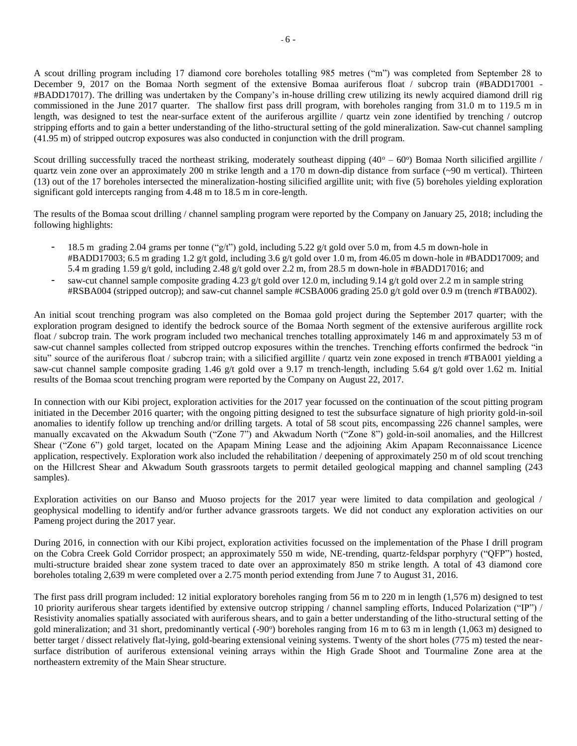A scout drilling program including 17 diamond core boreholes totalling 985 metres ("m") was completed from September 28 to December 9, 2017 on the Bomaa North segment of the extensive Bomaa auriferous float / subcrop train (#BADD17001 -#BADD17017). The drilling was undertaken by the Company's in-house drilling crew utilizing its newly acquired diamond drill rig commissioned in the June 2017 quarter. The shallow first pass drill program, with boreholes ranging from 31.0 m to 119.5 m in length, was designed to test the near-surface extent of the auriferous argillite / quartz vein zone identified by trenching / outcrop stripping efforts and to gain a better understanding of the litho-structural setting of the gold mineralization. Saw-cut channel sampling (41.95 m) of stripped outcrop exposures was also conducted in conjunction with the drill program.

Scout drilling successfully traced the northeast striking, moderately southeast dipping  $(40^{\circ} - 60^{\circ})$  Bomaa North silicified argillite / quartz vein zone over an approximately 200 m strike length and a 170 m down-dip distance from surface (~90 m vertical). Thirteen (13) out of the 17 boreholes intersected the mineralization-hosting silicified argillite unit; with five (5) boreholes yielding exploration significant gold intercepts ranging from 4.48 m to 18.5 m in core-length.

The results of the Bomaa scout drilling / channel sampling program were reported by the Company on January 25, 2018; including the following highlights:

- 18.5 m grading 2.04 grams per tonne ("g/t") gold, including 5.22 g/t gold over 5.0 m, from 4.5 m down-hole in #BADD17003; 6.5 m grading 1.2 g/t gold, including 3.6 g/t gold over 1.0 m, from 46.05 m down-hole in #BADD17009; and 5.4 m grading 1.59 g/t gold, including 2.48 g/t gold over 2.2 m, from 28.5 m down-hole in #BADD17016; and
- saw-cut channel sample composite grading 4.23 g/t gold over 12.0 m, including 9.14 g/t gold over 2.2 m in sample string #RSBA004 (stripped outcrop); and saw-cut channel sample #CSBA006 grading 25.0 g/t gold over 0.9 m (trench #TBA002).

An initial scout trenching program was also completed on the Bomaa gold project during the September 2017 quarter; with the exploration program designed to identify the bedrock source of the Bomaa North segment of the extensive auriferous argillite rock float / subcrop train. The work program included two mechanical trenches totalling approximately 146 m and approximately 53 m of saw-cut channel samples collected from stripped outcrop exposures within the trenches. Trenching efforts confirmed the bedrock "in situ" source of the auriferous float / subcrop train; with a silicified argillite / quartz vein zone exposed in trench #TBA001 yielding a saw-cut channel sample composite grading 1.46 g/t gold over a 9.17 m trench-length, including 5.64 g/t gold over 1.62 m. Initial results of the Bomaa scout trenching program were reported by the Company on August 22, 2017.

In connection with our Kibi project, exploration activities for the 2017 year focussed on the continuation of the scout pitting program initiated in the December 2016 quarter; with the ongoing pitting designed to test the subsurface signature of high priority gold-in-soil anomalies to identify follow up trenching and/or drilling targets. A total of 58 scout pits, encompassing 226 channel samples, were manually excavated on the Akwadum South ("Zone 7") and Akwadum North ("Zone 8") gold-in-soil anomalies, and the Hillcrest Shear ("Zone 6") gold target, located on the Apapam Mining Lease and the adjoining Akim Apapam Reconnaissance Licence application, respectively. Exploration work also included the rehabilitation / deepening of approximately 250 m of old scout trenching on the Hillcrest Shear and Akwadum South grassroots targets to permit detailed geological mapping and channel sampling (243 samples).

Exploration activities on our Banso and Muoso projects for the 2017 year were limited to data compilation and geological / geophysical modelling to identify and/or further advance grassroots targets. We did not conduct any exploration activities on our Pameng project during the 2017 year.

During 2016, in connection with our Kibi project, exploration activities focussed on the implementation of the Phase I drill program on the Cobra Creek Gold Corridor prospect; an approximately 550 m wide, NE-trending, quartz-feldspar porphyry ("QFP") hosted, multi-structure braided shear zone system traced to date over an approximately 850 m strike length. A total of 43 diamond core boreholes totaling 2,639 m were completed over a 2.75 month period extending from June 7 to August 31, 2016.

The first pass drill program included: 12 initial exploratory boreholes ranging from 56 m to 220 m in length (1,576 m) designed to test 10 priority auriferous shear targets identified by extensive outcrop stripping / channel sampling efforts, Induced Polarization ("IP") / Resistivity anomalies spatially associated with auriferous shears, and to gain a better understanding of the litho-structural setting of the gold mineralization; and 31 short, predominantly vertical (-90°) boreholes ranging from 16 m to 63 m in length (1,063 m) designed to better target / dissect relatively flat-lying, gold-bearing extensional veining systems. Twenty of the short holes (775 m) tested the nearsurface distribution of auriferous extensional veining arrays within the High Grade Shoot and Tourmaline Zone area at the northeastern extremity of the Main Shear structure.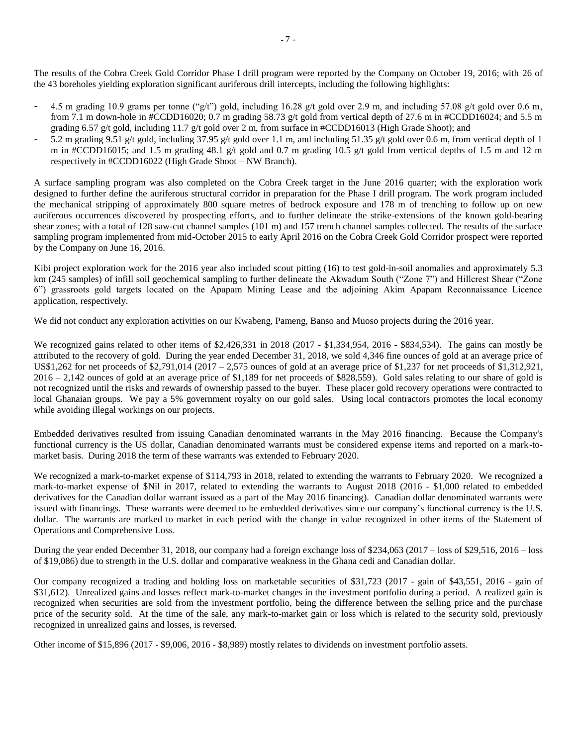The results of the Cobra Creek Gold Corridor Phase I drill program were reported by the Company on October 19, 2016; with 26 of the 43 boreholes yielding exploration significant auriferous drill intercepts, including the following highlights:

- 4.5 m grading 10.9 grams per tonne ("g/t") gold, including 16.28 g/t gold over 2.9 m, and including 57.08 g/t gold over 0.6 m, from 7.1 m down-hole in #CCDD16020; 0.7 m grading 58.73 g/t gold from vertical depth of 27.6 m in #CCDD16024; and 5.5 m grading 6.57 g/t gold, including 11.7 g/t gold over 2 m, from surface in #CCDD16013 (High Grade Shoot); and
- 5.2 m grading 9.51 g/t gold, including 37.95 g/t gold over 1.1 m, and including 51.35 g/t gold over 0.6 m, from vertical depth of 1 m in #CCDD16015; and 1.5 m grading 48.1 g/t gold and 0.7 m grading 10.5 g/t gold from vertical depths of 1.5 m and 12 m respectively in #CCDD16022 (High Grade Shoot – NW Branch).

A surface sampling program was also completed on the Cobra Creek target in the June 2016 quarter; with the exploration work designed to further define the auriferous structural corridor in preparation for the Phase I drill program. The work program included the mechanical stripping of approximately 800 square metres of bedrock exposure and 178 m of trenching to follow up on new auriferous occurrences discovered by prospecting efforts, and to further delineate the strike-extensions of the known gold-bearing shear zones; with a total of 128 saw-cut channel samples (101 m) and 157 trench channel samples collected. The results of the surface sampling program implemented from mid-October 2015 to early April 2016 on the Cobra Creek Gold Corridor prospect were reported by the Company on June 16, 2016.

Kibi project exploration work for the 2016 year also included scout pitting (16) to test gold-in-soil anomalies and approximately 5.3 km (245 samples) of infill soil geochemical sampling to further delineate the Akwadum South ("Zone 7") and Hillcrest Shear ("Zone 6") grassroots gold targets located on the Apapam Mining Lease and the adjoining Akim Apapam Reconnaissance Licence application, respectively.

We did not conduct any exploration activities on our Kwabeng, Pameng, Banso and Muoso projects during the 2016 year.

We recognized gains related to other items of \$2,426,331 in 2018 (2017 - \$1,334,954, 2016 - \$834,534). The gains can mostly be attributed to the recovery of gold. During the year ended December 31, 2018, we sold 4,346 fine ounces of gold at an average price of US\$1,262 for net proceeds of \$2,791,014 (2017 – 2,575 ounces of gold at an average price of \$1,237 for net proceeds of \$1,312,921, 2016 – 2,142 ounces of gold at an average price of \$1,189 for net proceeds of \$828,559). Gold sales relating to our share of gold is not recognized until the risks and rewards of ownership passed to the buyer. These placer gold recovery operations were contracted to local Ghanaian groups. We pay a 5% government royalty on our gold sales. Using local contractors promotes the local economy while avoiding illegal workings on our projects.

Embedded derivatives resulted from issuing Canadian denominated warrants in the May 2016 financing. Because the Company's functional currency is the US dollar, Canadian denominated warrants must be considered expense items and reported on a mark-tomarket basis. During 2018 the term of these warrants was extended to February 2020.

We recognized a mark-to-market expense of \$114,793 in 2018, related to extending the warrants to February 2020. We recognized a mark-to-market expense of \$Nil in 2017, related to extending the warrants to August 2018 (2016 - \$1,000 related to embedded derivatives for the Canadian dollar warrant issued as a part of the May 2016 financing). Canadian dollar denominated warrants were issued with financings. These warrants were deemed to be embedded derivatives since our company's functional currency is the U.S. dollar. The warrants are marked to market in each period with the change in value recognized in other items of the Statement of Operations and Comprehensive Loss.

During the year ended December 31, 2018, our company had a foreign exchange loss of \$234,063 (2017 – loss of \$29,516, 2016 – loss of \$19,086) due to strength in the U.S. dollar and comparative weakness in the Ghana cedi and Canadian dollar.

Our company recognized a trading and holding loss on marketable securities of \$31,723 (2017 - gain of \$43,551, 2016 - gain of \$31,612). Unrealized gains and losses reflect mark-to-market changes in the investment portfolio during a period. A realized gain is recognized when securities are sold from the investment portfolio, being the difference between the selling price and the purchase price of the security sold. At the time of the sale, any mark-to-market gain or loss which is related to the security sold, previously recognized in unrealized gains and losses, is reversed.

Other income of \$15,896 (2017 - \$9,006, 2016 - \$8,989) mostly relates to dividends on investment portfolio assets.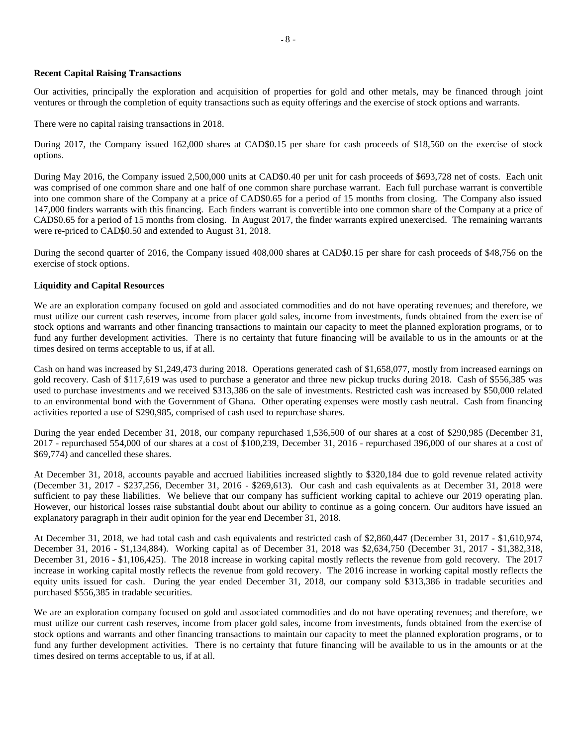### **Recent Capital Raising Transactions**

Our activities, principally the exploration and acquisition of properties for gold and other metals, may be financed through joint ventures or through the completion of equity transactions such as equity offerings and the exercise of stock options and warrants.

There were no capital raising transactions in 2018.

During 2017, the Company issued 162,000 shares at CAD\$0.15 per share for cash proceeds of \$18,560 on the exercise of stock options.

During May 2016, the Company issued 2,500,000 units at CAD\$0.40 per unit for cash proceeds of \$693,728 net of costs. Each unit was comprised of one common share and one half of one common share purchase warrant. Each full purchase warrant is convertible into one common share of the Company at a price of CAD\$0.65 for a period of 15 months from closing. The Company also issued 147,000 finders warrants with this financing. Each finders warrant is convertible into one common share of the Company at a price of CAD\$0.65 for a period of 15 months from closing. In August 2017, the finder warrants expired unexercised. The remaining warrants were re-priced to CAD\$0.50 and extended to August 31, 2018.

During the second quarter of 2016, the Company issued 408,000 shares at CAD\$0.15 per share for cash proceeds of \$48,756 on the exercise of stock options.

## **Liquidity and Capital Resources**

We are an exploration company focused on gold and associated commodities and do not have operating revenues; and therefore, we must utilize our current cash reserves, income from placer gold sales, income from investments, funds obtained from the exercise of stock options and warrants and other financing transactions to maintain our capacity to meet the planned exploration programs, or to fund any further development activities. There is no certainty that future financing will be available to us in the amounts or at the times desired on terms acceptable to us, if at all.

Cash on hand was increased by \$1,249,473 during 2018. Operations generated cash of \$1,658,077, mostly from increased earnings on gold recovery. Cash of \$117,619 was used to purchase a generator and three new pickup trucks during 2018. Cash of \$556,385 was used to purchase investments and we received \$313,386 on the sale of investments. Restricted cash was increased by \$50,000 related to an environmental bond with the Government of Ghana. Other operating expenses were mostly cash neutral. Cash from financing activities reported a use of \$290,985, comprised of cash used to repurchase shares.

During the year ended December 31, 2018, our company repurchased 1,536,500 of our shares at a cost of \$290,985 (December 31, 2017 - repurchased 554,000 of our shares at a cost of \$100,239, December 31, 2016 - repurchased 396,000 of our shares at a cost of \$69,774) and cancelled these shares.

At December 31, 2018, accounts payable and accrued liabilities increased slightly to \$320,184 due to gold revenue related activity (December 31, 2017 - \$237,256, December 31, 2016 - \$269,613). Our cash and cash equivalents as at December 31, 2018 were sufficient to pay these liabilities. We believe that our company has sufficient working capital to achieve our 2019 operating plan. However, our historical losses raise substantial doubt about our ability to continue as a going concern. Our auditors have issued an explanatory paragraph in their audit opinion for the year end December 31, 2018.

At December 31, 2018, we had total cash and cash equivalents and restricted cash of \$2,860,447 (December 31, 2017 - \$1,610,974, December 31, 2016 - \$1,134,884). Working capital as of December 31, 2018 was \$2,634,750 (December 31, 2017 - \$1,382,318, December 31, 2016 - \$1,106,425). The 2018 increase in working capital mostly reflects the revenue from gold recovery. The 2017 increase in working capital mostly reflects the revenue from gold recovery. The 2016 increase in working capital mostly reflects the equity units issued for cash. During the year ended December 31, 2018, our company sold \$313,386 in tradable securities and purchased \$556,385 in tradable securities.

We are an exploration company focused on gold and associated commodities and do not have operating revenues; and therefore, we must utilize our current cash reserves, income from placer gold sales, income from investments, funds obtained from the exercise of stock options and warrants and other financing transactions to maintain our capacity to meet the planned exploration programs, or to fund any further development activities. There is no certainty that future financing will be available to us in the amounts or at the times desired on terms acceptable to us, if at all.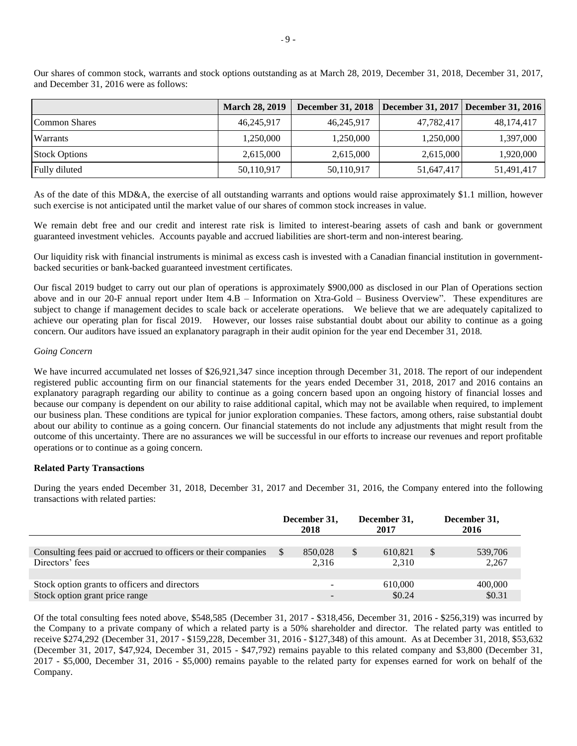|                      | <b>March 28, 2019</b> | <b>December 31, 2018</b> | December 31, 2017   December 31, 2016 |            |
|----------------------|-----------------------|--------------------------|---------------------------------------|------------|
| Common Shares        | 46,245,917            | 46,245,917               | 47,782,417                            | 48,174,417 |
| Warrants             | 1,250,000             | 1,250,000                | 1,250,000                             | 1,397,000  |
| <b>Stock Options</b> | 2,615,000             | 2,615,000                | 2,615,000                             | 1,920,000  |
| Fully diluted        | 50,110,917            | 50,110,917               | 51,647,417                            | 51,491,417 |

Our shares of common stock, warrants and stock options outstanding as at March 28, 2019, December 31, 2018, December 31, 2017, and December 31, 2016 were as follows:

As of the date of this MD&A, the exercise of all outstanding warrants and options would raise approximately \$1.1 million, however such exercise is not anticipated until the market value of our shares of common stock increases in value.

We remain debt free and our credit and interest rate risk is limited to interest-bearing assets of cash and bank or government guaranteed investment vehicles. Accounts payable and accrued liabilities are short-term and non-interest bearing.

Our liquidity risk with financial instruments is minimal as excess cash is invested with a Canadian financial institution in governmentbacked securities or bank-backed guaranteed investment certificates.

Our fiscal 2019 budget to carry out our plan of operations is approximately \$900,000 as disclosed in our Plan of Operations section above and in our 20-F annual report under Item 4.B – Information on Xtra-Gold – Business Overview". These expenditures are subject to change if management decides to scale back or accelerate operations. We believe that we are adequately capitalized to achieve our operating plan for fiscal 2019. However, our losses raise substantial doubt about our ability to continue as a going concern. Our auditors have issued an explanatory paragraph in their audit opinion for the year end December 31, 2018.

### *Going Concern*

We have incurred accumulated net losses of \$26,921,347 since inception through December 31, 2018. The report of our independent registered public accounting firm on our financial statements for the years ended December 31, 2018, 2017 and 2016 contains an explanatory paragraph regarding our ability to continue as a going concern based upon an ongoing history of financial losses and because our company is dependent on our ability to raise additional capital, which may not be available when required, to implement our business plan. These conditions are typical for junior exploration companies. These factors, among others, raise substantial doubt about our ability to continue as a going concern. Our financial statements do not include any adjustments that might result from the outcome of this uncertainty. There are no assurances we will be successful in our efforts to increase our revenues and report profitable operations or to continue as a going concern.

### **Related Party Transactions**

During the years ended December 31, 2018, December 31, 2017 and December 31, 2016, the Company entered into the following transactions with related parties:

|                                                                | December 31,<br>2018 | December 31,<br>2017 | December 31,<br>2016 |
|----------------------------------------------------------------|----------------------|----------------------|----------------------|
|                                                                |                      |                      |                      |
| Consulting fees paid or accrued to officers or their companies | \$<br>850,028        | 610,821              | 539,706              |
| Directors' fees                                                | 2.316                | 2.310                | 2,267                |
|                                                                |                      |                      |                      |
| Stock option grants to officers and directors                  |                      | 610,000              | 400,000              |
| Stock option grant price range                                 |                      | \$0.24               | \$0.31               |

Of the total consulting fees noted above, \$548,585 (December 31, 2017 - \$318,456, December 31, 2016 - \$256,319) was incurred by the Company to a private company of which a related party is a 50% shareholder and director. The related party was entitled to receive \$274,292 (December 31, 2017 - \$159,228, December 31, 2016 - \$127,348) of this amount. As at December 31, 2018, \$53,632 (December 31, 2017, \$47,924, December 31, 2015 - \$47,792) remains payable to this related company and \$3,800 (December 31, 2017 - \$5,000, December 31, 2016 - \$5,000) remains payable to the related party for expenses earned for work on behalf of the Company.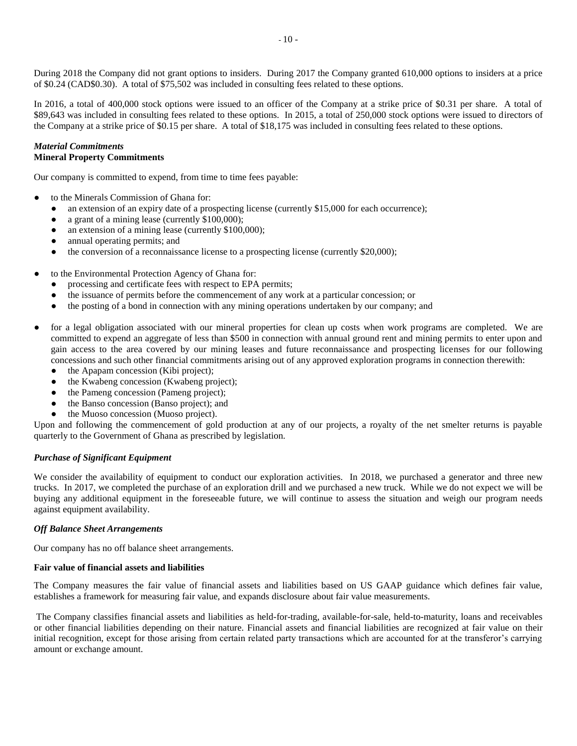During 2018 the Company did not grant options to insiders. During 2017 the Company granted 610,000 options to insiders at a price of \$0.24 (CAD\$0.30). A total of \$75,502 was included in consulting fees related to these options.

In 2016, a total of 400,000 stock options were issued to an officer of the Company at a strike price of \$0.31 per share. A total of \$89,643 was included in consulting fees related to these options. In 2015, a total of 250,000 stock options were issued to directors of the Company at a strike price of \$0.15 per share. A total of \$18,175 was included in consulting fees related to these options.

### *Material Commitments* **Mineral Property Commitments**

Our company is committed to expend, from time to time fees payable:

- to the Minerals Commission of Ghana for:
	- an extension of an expiry date of a prospecting license (currently \$15,000 for each occurrence);
	- a grant of a mining lease (currently \$100,000);
	- an extension of a mining lease (currently  $$100,000$ );
	- annual operating permits; and
	- the conversion of a reconnaissance license to a prospecting license (currently \$20,000);
- to the Environmental Protection Agency of Ghana for:
	- processing and certificate fees with respect to EPA permits;
	- the issuance of permits before the commencement of any work at a particular concession; or
	- the posting of a bond in connection with any mining operations undertaken by our company; and
- for a legal obligation associated with our mineral properties for clean up costs when work programs are completed. We are committed to expend an aggregate of less than \$500 in connection with annual ground rent and mining permits to enter upon and gain access to the area covered by our mining leases and future reconnaissance and prospecting licenses for our following concessions and such other financial commitments arising out of any approved exploration programs in connection therewith:
	- the Apapam concession (Kibi project);
	- the Kwabeng concession (Kwabeng project);
	- the Pameng concession (Pameng project);
	- the Banso concession (Banso project); and
	- the Muoso concession (Muoso project).

Upon and following the commencement of gold production at any of our projects, a royalty of the net smelter returns is payable quarterly to the Government of Ghana as prescribed by legislation.

# *Purchase of Significant Equipment*

We consider the availability of equipment to conduct our exploration activities. In 2018, we purchased a generator and three new trucks. In 2017, we completed the purchase of an exploration drill and we purchased a new truck. While we do not expect we will be buying any additional equipment in the foreseeable future, we will continue to assess the situation and weigh our program needs against equipment availability.

### *Off Balance Sheet Arrangements*

Our company has no off balance sheet arrangements.

### **Fair value of financial assets and liabilities**

The Company measures the fair value of financial assets and liabilities based on US GAAP guidance which defines fair value, establishes a framework for measuring fair value, and expands disclosure about fair value measurements.

The Company classifies financial assets and liabilities as held-for-trading, available-for-sale, held-to-maturity, loans and receivables or other financial liabilities depending on their nature. Financial assets and financial liabilities are recognized at fair value on their initial recognition, except for those arising from certain related party transactions which are accounted for at the transferor's carrying amount or exchange amount.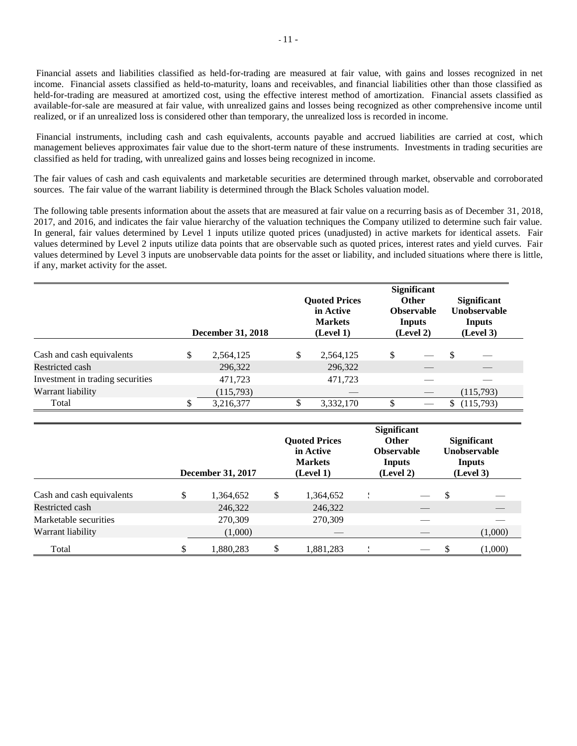Financial assets and liabilities classified as held-for-trading are measured at fair value, with gains and losses recognized in net income. Financial assets classified as held-to-maturity, loans and receivables, and financial liabilities other than those classified as held-for-trading are measured at amortized cost, using the effective interest method of amortization. Financial assets classified as available-for-sale are measured at fair value, with unrealized gains and losses being recognized as other comprehensive income until realized, or if an unrealized loss is considered other than temporary, the unrealized loss is recorded in income.

Financial instruments, including cash and cash equivalents, accounts payable and accrued liabilities are carried at cost, which management believes approximates fair value due to the short-term nature of these instruments. Investments in trading securities are classified as held for trading, with unrealized gains and losses being recognized in income.

The fair values of cash and cash equivalents and marketable securities are determined through market, observable and corroborated sources. The fair value of the warrant liability is determined through the Black Scholes valuation model.

The following table presents information about the assets that are measured at fair value on a recurring basis as of December 31, 2018, 2017, and 2016, and indicates the fair value hierarchy of the valuation techniques the Company utilized to determine such fair value. In general, fair values determined by Level 1 inputs utilize quoted prices (unadjusted) in active markets for identical assets. Fair values determined by Level 2 inputs utilize data points that are observable such as quoted prices, interest rates and yield curves. Fair values determined by Level 3 inputs are unobservable data points for the asset or liability, and included situations where there is little, if any, market activity for the asset.

|                                  | <b>December 31, 2018</b> |    | <b>Quoted Prices</b><br>in Active<br><b>Markets</b><br>(Level 1) | <b>Significant</b><br><b>Other</b><br><b>Observable</b><br>Inputs<br>(Level 2) |   | <b>Significant</b><br><b>Unobservable</b><br>Inputs<br>(Level 3) |
|----------------------------------|--------------------------|----|------------------------------------------------------------------|--------------------------------------------------------------------------------|---|------------------------------------------------------------------|
| Cash and cash equivalents        | \$<br>2,564,125          | \$ | 2,564,125                                                        | \$                                                                             | S |                                                                  |
| Restricted cash                  | 296,322                  |    | 296,322                                                          |                                                                                |   |                                                                  |
| Investment in trading securities | 471,723                  |    | 471,723                                                          |                                                                                |   |                                                                  |
| Warrant liability                | (115,793)                |    |                                                                  |                                                                                |   | (115,793)                                                        |
| Total                            | 3,216,377                | S  | 3,332,170                                                        |                                                                                | S | (115,793)                                                        |

|                           | <b>December 31, 2017</b> |    | <b>Quoted Prices</b><br>in Active<br><b>Markets</b><br>(Level 1) |  | <b>Significant</b><br><b>Other</b><br><b>Observable</b><br>Inputs<br>(Level 2) |               | <b>Significant</b><br><b>Unobservable</b><br>Inputs<br>(Level 3) |  |
|---------------------------|--------------------------|----|------------------------------------------------------------------|--|--------------------------------------------------------------------------------|---------------|------------------------------------------------------------------|--|
| Cash and cash equivalents | \$<br>1,364,652          | \$ | 1,364,652                                                        |  |                                                                                | <sup>\$</sup> |                                                                  |  |
| Restricted cash           | 246,322                  |    | 246,322                                                          |  |                                                                                |               |                                                                  |  |
| Marketable securities     | 270,309                  |    | 270,309                                                          |  |                                                                                |               |                                                                  |  |
| Warrant liability         | (1,000)                  |    |                                                                  |  |                                                                                |               | (1,000)                                                          |  |
| Total                     | \$<br>1,880,283          | \$ | 1,881,283                                                        |  |                                                                                | ъ             | (1,000)                                                          |  |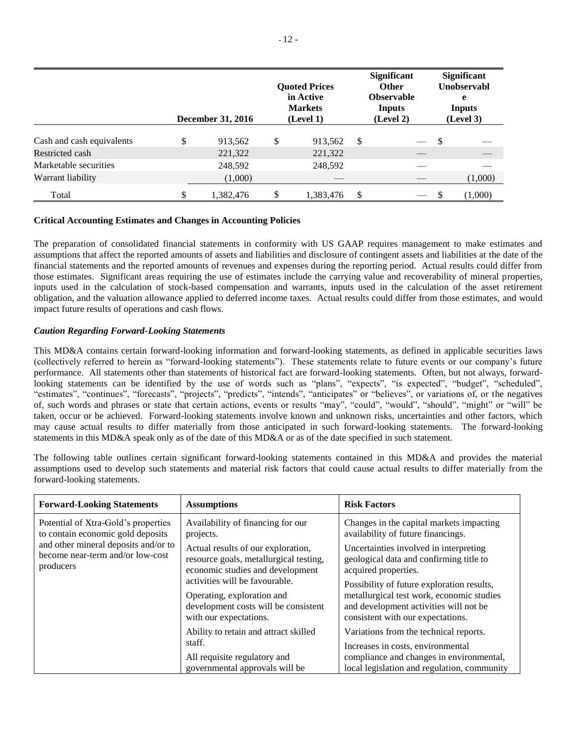|                           | <b>December 31, 2016</b> | <b>Ouoted Prices</b><br>in Active<br><b>Markets</b><br>(Level 1) |   | <b>Significant</b><br><b>Other</b><br><b>Observable</b><br>Inputs<br>(Level 2) |     | <b>Significant</b><br><b>Unobservabl</b><br>e<br>Inputs<br>(Level 3) |
|---------------------------|--------------------------|------------------------------------------------------------------|---|--------------------------------------------------------------------------------|-----|----------------------------------------------------------------------|
| Cash and cash equivalents | \$<br>913,562            | \$<br>913,562                                                    | S |                                                                                | -\$ |                                                                      |
| Restricted cash           | 221,322                  | 221,322                                                          |   |                                                                                |     |                                                                      |
| Marketable securities     | 248,592                  | 248,592                                                          |   |                                                                                |     |                                                                      |
| Warrant liability         | (1,000)                  |                                                                  |   |                                                                                |     | (1,000)                                                              |
| Total                     | \$<br>1,382,476          | \$<br>1,383,476                                                  | S |                                                                                |     | (1,000)                                                              |

## **Critical Accounting Estimates and Changes in Accounting Policies**

The preparation of consolidated financial statements in conformity with US GAAP requires management to make estimates and assumptions that affect the reported amounts of assets and liabilities and disclosure of contingent assets and liabilities at the date of the financial statements and the reported amounts of revenues and expenses during the reporting period. Actual results could differ from those estimates. Significant areas requiring the use of estimates include the carrying value and recoverability of mineral properties, inputs used in the calculation of stock-based compensation and warrants, inputs used in the calculation of the asset retirement obligation, and the valuation allowance applied to deferred income taxes. Actual results could differ from those estimates, and would impact future results of operations and cash flows.

## *Caution Regarding Forward-Looking Statements*

This MD&A contains certain forward-looking information and forward-looking statements, as defined in applicable securities laws (collectively referred to herein as "forward-looking statements"). These statements relate to future events or our company's future performance. All statements other than statements of historical fact are forward-looking statements. Often, but not always, forwardlooking statements can be identified by the use of words such as "plans", "expects", "is expected", "budget", "scheduled", "estimates", "continues", "forecasts", "projects", "predicts", "intends", "anticipates" or "believes", or variations of, or the negatives of, such words and phrases or state that certain actions, events or results "may", "could", "would", "should", "might" or "will" be taken, occur or be achieved. Forward-looking statements involve known and unknown risks, uncertainties and other factors, which may cause actual results to differ materially from those anticipated in such forward-looking statements. The forward-looking statements in this MD&A speak only as of the date of this MD&A or as of the date specified in such statement.

The following table outlines certain significant forward-looking statements contained in this MD&A and provides the material assumptions used to develop such statements and material risk factors that could cause actual results to differ materially from the forward-looking statements.

| <b>Forward-Looking Statements</b>                                                                                                                                 | <b>Assumptions</b>                                                                                                             | <b>Risk Factors</b>                                                                                                                                                    |
|-------------------------------------------------------------------------------------------------------------------------------------------------------------------|--------------------------------------------------------------------------------------------------------------------------------|------------------------------------------------------------------------------------------------------------------------------------------------------------------------|
| Potential of Xtra-Gold's properties<br>to contain economic gold deposits<br>and other mineral deposits and/or to<br>become near-term and/or low-cost<br>producers | Availability of financing for our<br>projects.                                                                                 | Changes in the capital markets impacting<br>availability of future financings.                                                                                         |
|                                                                                                                                                                   | Actual results of our exploration,<br>resource goals, metallurgical testing,<br>economic studies and development               | Uncertainties involved in interpreting<br>geological data and confirming title to<br>acquired properties.                                                              |
|                                                                                                                                                                   | activities will be favourable.<br>Operating, exploration and<br>development costs will be consistent<br>with our expectations. | Possibility of future exploration results,<br>metallurgical test work, economic studies<br>and development activities will not be<br>consistent with our expectations. |
|                                                                                                                                                                   | Ability to retain and attract skilled<br>staff.<br>All requisite regulatory and<br>governmental approvals will be              | Variations from the technical reports.<br>Increases in costs, environmental<br>compliance and changes in environmental,<br>local legislation and regulation, community |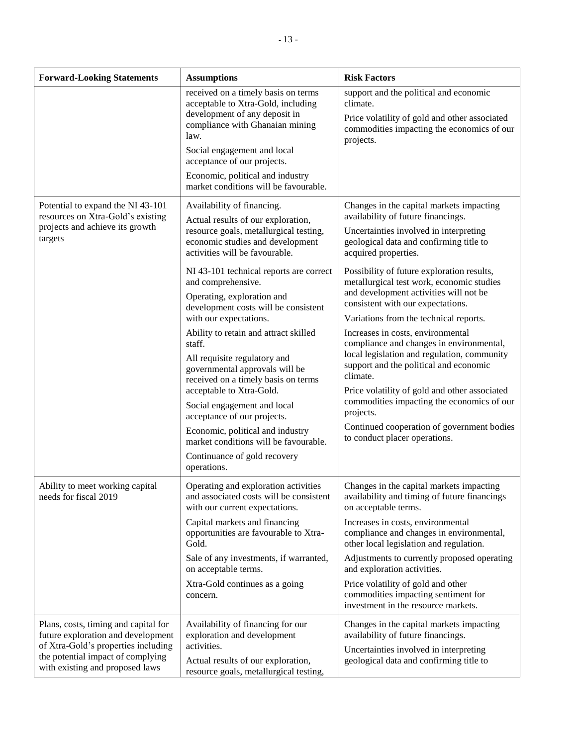| <b>Forward-Looking Statements</b>                                                                                                                                                         | <b>Assumptions</b>                                                                                                                                                                                                                                                                               | <b>Risk Factors</b>                                                                                                                                                                                                                 |  |  |  |
|-------------------------------------------------------------------------------------------------------------------------------------------------------------------------------------------|--------------------------------------------------------------------------------------------------------------------------------------------------------------------------------------------------------------------------------------------------------------------------------------------------|-------------------------------------------------------------------------------------------------------------------------------------------------------------------------------------------------------------------------------------|--|--|--|
|                                                                                                                                                                                           | received on a timely basis on terms<br>acceptable to Xtra-Gold, including<br>development of any deposit in<br>compliance with Ghanaian mining<br>law.<br>Social engagement and local<br>acceptance of our projects.<br>Economic, political and industry<br>market conditions will be favourable. | support and the political and economic<br>climate.<br>Price volatility of gold and other associated<br>commodities impacting the economics of our<br>projects.                                                                      |  |  |  |
| Potential to expand the NI 43-101<br>resources on Xtra-Gold's existing<br>projects and achieve its growth<br>targets                                                                      | Availability of financing.<br>Actual results of our exploration,<br>resource goals, metallurgical testing,<br>economic studies and development<br>activities will be favourable.                                                                                                                 | Changes in the capital markets impacting<br>availability of future financings.<br>Uncertainties involved in interpreting<br>geological data and confirming title to<br>acquired properties.                                         |  |  |  |
|                                                                                                                                                                                           | NI 43-101 technical reports are correct<br>and comprehensive.<br>Operating, exploration and<br>development costs will be consistent<br>with our expectations.                                                                                                                                    | Possibility of future exploration results,<br>metallurgical test work, economic studies<br>and development activities will not be<br>consistent with our expectations.<br>Variations from the technical reports.                    |  |  |  |
|                                                                                                                                                                                           | Ability to retain and attract skilled<br>staff.<br>All requisite regulatory and<br>governmental approvals will be<br>received on a timely basis on terms<br>acceptable to Xtra-Gold.                                                                                                             | Increases in costs, environmental<br>compliance and changes in environmental,<br>local legislation and regulation, community<br>support and the political and economic<br>climate.<br>Price volatility of gold and other associated |  |  |  |
|                                                                                                                                                                                           | Social engagement and local<br>acceptance of our projects.<br>Economic, political and industry<br>market conditions will be favourable.<br>Continuance of gold recovery<br>operations.                                                                                                           | commodities impacting the economics of our<br>projects.<br>Continued cooperation of government bodies<br>to conduct placer operations.                                                                                              |  |  |  |
| Ability to meet working capital<br>needs for fiscal 2019                                                                                                                                  | Operating and exploration activities<br>and associated costs will be consistent<br>with our current expectations.                                                                                                                                                                                | Changes in the capital markets impacting<br>availability and timing of future financings<br>on acceptable terms.                                                                                                                    |  |  |  |
|                                                                                                                                                                                           | Capital markets and financing<br>opportunities are favourable to Xtra-<br>Gold.                                                                                                                                                                                                                  | Increases in costs, environmental<br>compliance and changes in environmental,<br>other local legislation and regulation.                                                                                                            |  |  |  |
|                                                                                                                                                                                           | Sale of any investments, if warranted,<br>on acceptable terms.                                                                                                                                                                                                                                   | Adjustments to currently proposed operating<br>and exploration activities.                                                                                                                                                          |  |  |  |
|                                                                                                                                                                                           | Xtra-Gold continues as a going<br>concern.                                                                                                                                                                                                                                                       | Price volatility of gold and other<br>commodities impacting sentiment for<br>investment in the resource markets.                                                                                                                    |  |  |  |
| Plans, costs, timing and capital for<br>future exploration and development<br>of Xtra-Gold's properties including<br>the potential impact of complying<br>with existing and proposed laws | Availability of financing for our<br>exploration and development<br>activities.<br>Actual results of our exploration,<br>resource goals, metallurgical testing,                                                                                                                                  | Changes in the capital markets impacting<br>availability of future financings.<br>Uncertainties involved in interpreting<br>geological data and confirming title to                                                                 |  |  |  |